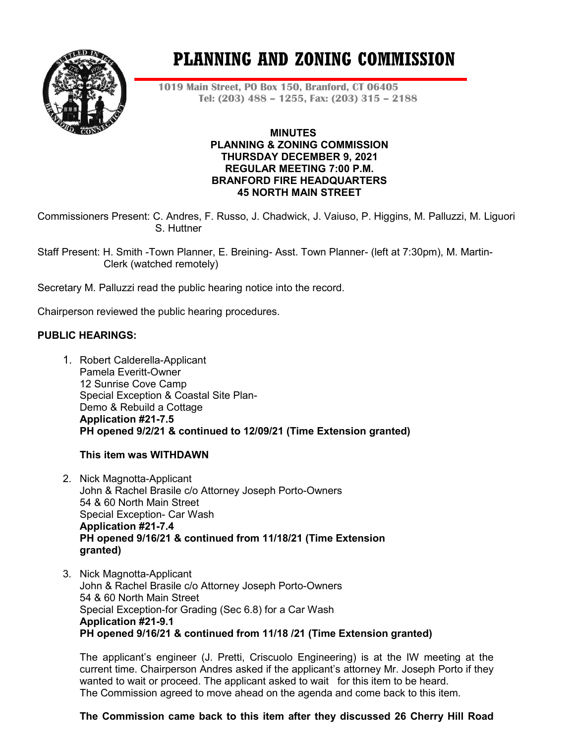

# **PLANNING AND ZONING COMMISSION**

**1019 Main Street, PO Box 150, Branford, CT 06405 Tel: (203) 488 – 1255, Fax: (203) 315 – 2188**

#### **MINUTES PLANNING & ZONING COMMISSION THURSDAY DECEMBER 9, 2021 REGULAR MEETING 7:00 P.M. BRANFORD FIRE HEADQUARTERS 45 NORTH MAIN STREET**

Commissioners Present: C. Andres, F. Russo, J. Chadwick, J. Vaiuso, P. Higgins, M. Palluzzi, M. Liguori S. Huttner

Staff Present: H. Smith -Town Planner, E. Breining- Asst. Town Planner- (left at 7:30pm), M. Martin- Clerk (watched remotely)

Secretary M. Palluzzi read the public hearing notice into the record.

Chairperson reviewed the public hearing procedures.

## **PUBLIC HEARINGS:**

1. Robert Calderella-Applicant Pamela Everitt-Owner 12 Sunrise Cove Camp Special Exception & Coastal Site Plan-Demo & Rebuild a Cottage **Application #21-7.5 PH opened 9/2/21 & continued to 12/09/21 (Time Extension granted)**

**This item was WITHDAWN**

- 2. Nick Magnotta-Applicant John & Rachel Brasile c/o Attorney Joseph Porto-Owners 54 & 60 North Main Street Special Exception- Car Wash **Application #21-7.4 PH opened 9/16/21 & continued from 11/18/21 (Time Extension granted)**
- 3. Nick Magnotta-Applicant John & Rachel Brasile c/o Attorney Joseph Porto-Owners 54 & 60 North Main Street Special Exception-for Grading (Sec 6.8) for a Car Wash **Application #21-9.1 PH opened 9/16/21 & continued from 11/18 /21 (Time Extension granted)**

The applicant's engineer (J. Pretti, Criscuolo Engineering) is at the IW meeting at the current time. Chairperson Andres asked if the applicant's attorney Mr. Joseph Porto if they wanted to wait or proceed. The applicant asked to wait for this item to be heard. The Commission agreed to move ahead on the agenda and come back to this item.

## **The Commission came back to this item after they discussed 26 Cherry Hill Road**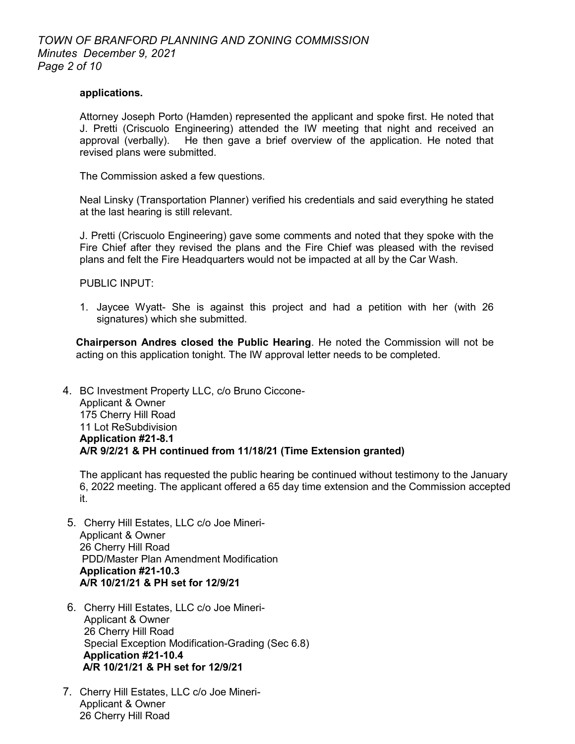#### **applications.**

Attorney Joseph Porto (Hamden) represented the applicant and spoke first. He noted that J. Pretti (Criscuolo Engineering) attended the IW meeting that night and received an approval (verbally). He then gave a brief overview of the application. He noted that revised plans were submitted.

The Commission asked a few questions.

Neal Linsky (Transportation Planner) verified his credentials and said everything he stated at the last hearing is still relevant.

J. Pretti (Criscuolo Engineering) gave some comments and noted that they spoke with the Fire Chief after they revised the plans and the Fire Chief was pleased with the revised plans and felt the Fire Headquarters would not be impacted at all by the Car Wash.

PUBLIC INPUT:

1. Jaycee Wyatt- She is against this project and had a petition with her (with 26 signatures) which she submitted.

**Chairperson Andres closed the Public Hearing**. He noted the Commission will not be acting on this application tonight. The IW approval letter needs to be completed.

4. BC Investment Property LLC, c/o Bruno Ciccone-Applicant & Owner 175 Cherry Hill Road 11 Lot ReSubdivision **Application #21-8.1 A/R 9/2/21 & PH continued from 11/18/21 (Time Extension granted)**

The applicant has requested the public hearing be continued without testimony to the January 6, 2022 meeting. The applicant offered a 65 day time extension and the Commission accepted it.

- 5. Cherry Hill Estates, LLC c/o Joe Mineri-Applicant & Owner 26 Cherry Hill Road PDD/Master Plan Amendment Modification **Application #21-10.3 A/R 10/21/21 & PH set for 12/9/21**
- 6. Cherry Hill Estates, LLC c/o Joe Mineri-Applicant & Owner 26 Cherry Hill Road Special Exception Modification-Grading (Sec 6.8) **Application #21-10.4 A/R 10/21/21 & PH set for 12/9/21**
- 7. Cherry Hill Estates, LLC c/o Joe Mineri-Applicant & Owner 26 Cherry Hill Road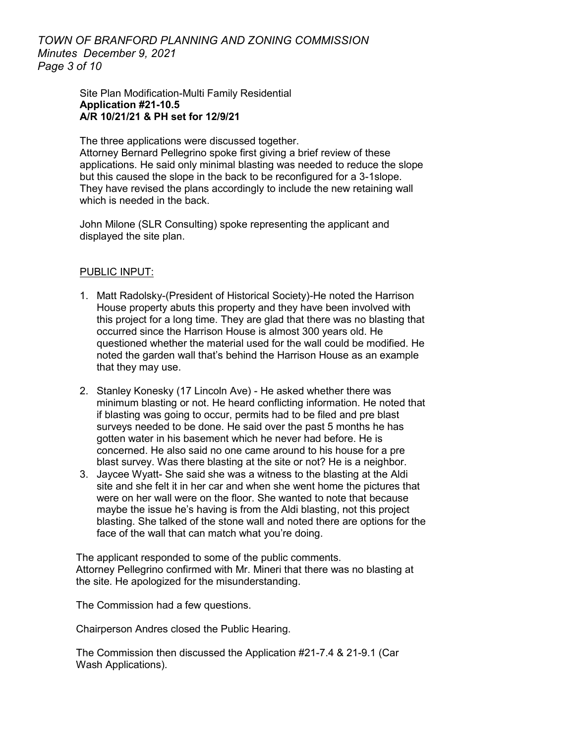*TOWN OF BRANFORD PLANNING AND ZONING COMMISSION Minutes December 9, 2021 Page 3 of 10*

> Site Plan Modification-Multi Family Residential **Application #21-10.5 A/R 10/21/21 & PH set for 12/9/21**

The three applications were discussed together.

Attorney Bernard Pellegrino spoke first giving a brief review of these applications. He said only minimal blasting was needed to reduce the slope but this caused the slope in the back to be reconfigured for a 3-1slope. They have revised the plans accordingly to include the new retaining wall which is needed in the back.

John Milone (SLR Consulting) spoke representing the applicant and displayed the site plan.

#### PUBLIC INPUT:

- 1. Matt Radolsky-(President of Historical Society)-He noted the Harrison House property abuts this property and they have been involved with this project for a long time. They are glad that there was no blasting that occurred since the Harrison House is almost 300 years old. He questioned whether the material used for the wall could be modified. He noted the garden wall that's behind the Harrison House as an example that they may use.
- 2. Stanley Konesky (17 Lincoln Ave) He asked whether there was minimum blasting or not. He heard conflicting information. He noted that if blasting was going to occur, permits had to be filed and pre blast surveys needed to be done. He said over the past 5 months he has gotten water in his basement which he never had before. He is concerned. He also said no one came around to his house for a pre blast survey. Was there blasting at the site or not? He is a neighbor.
- 3. Jaycee Wyatt- She said she was a witness to the blasting at the Aldi site and she felt it in her car and when she went home the pictures that were on her wall were on the floor. She wanted to note that because maybe the issue he's having is from the Aldi blasting, not this project blasting. She talked of the stone wall and noted there are options for the face of the wall that can match what you're doing.

The applicant responded to some of the public comments. Attorney Pellegrino confirmed with Mr. Mineri that there was no blasting at the site. He apologized for the misunderstanding.

The Commission had a few questions.

Chairperson Andres closed the Public Hearing.

The Commission then discussed the Application #21-7.4 & 21-9.1 (Car Wash Applications).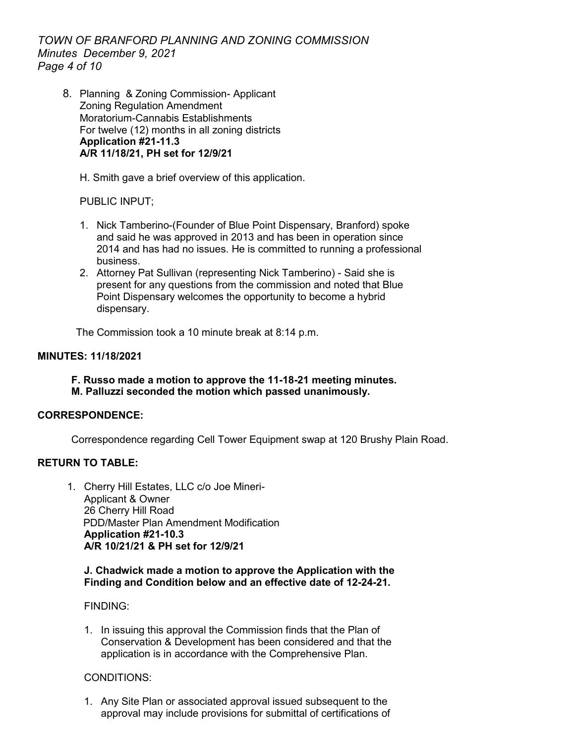*TOWN OF BRANFORD PLANNING AND ZONING COMMISSION Minutes December 9, 2021 Page 4 of 10*

8. Planning & Zoning Commission- Applicant Zoning Regulation Amendment Moratorium-Cannabis Establishments For twelve (12) months in all zoning districts **Application #21-11.3 A/R 11/18/21, PH set for 12/9/21**

H. Smith gave a brief overview of this application.

PUBLIC INPUT;

- 1. Nick Tamberino-(Founder of Blue Point Dispensary, Branford) spoke and said he was approved in 2013 and has been in operation since 2014 and has had no issues. He is committed to running a professional business.
- 2. Attorney Pat Sullivan (representing Nick Tamberino) Said she is present for any questions from the commission and noted that Blue Point Dispensary welcomes the opportunity to become a hybrid dispensary.

The Commission took a 10 minute break at 8:14 p.m.

## **MINUTES: 11/18/2021**

**F. Russo made a motion to approve the 11-18-21 meeting minutes. M. Palluzzi seconded the motion which passed unanimously.**

## **CORRESPONDENCE:**

Correspondence regarding Cell Tower Equipment swap at 120 Brushy Plain Road.

# **RETURN TO TABLE:**

1. Cherry Hill Estates, LLC c/o Joe Mineri-Applicant & Owner 26 Cherry Hill Road PDD/Master Plan Amendment Modification **Application #21-10.3 A/R 10/21/21 & PH set for 12/9/21**

#### **J. Chadwick made a motion to approve the Application with the Finding and Condition below and an effective date of 12-24-21.**

## FINDING:

1. In issuing this approval the Commission finds that the Plan of Conservation & Development has been considered and that the application is in accordance with the Comprehensive Plan.

## CONDITIONS:

1. Any Site Plan or associated approval issued subsequent to the approval may include provisions for submittal of certifications of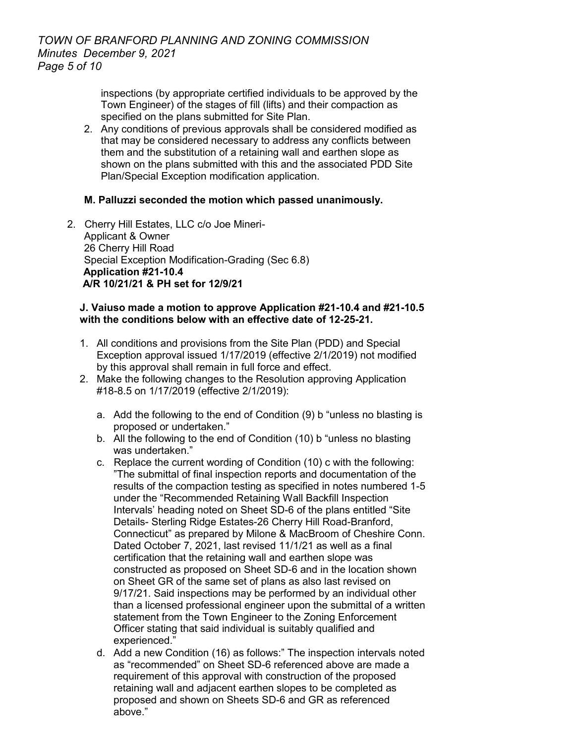inspections (by appropriate certified individuals to be approved by the Town Engineer) of the stages of fill (lifts) and their compaction as specified on the plans submitted for Site Plan.

2. Any conditions of previous approvals shall be considered modified as that may be considered necessary to address any conflicts between them and the substitution of a retaining wall and earthen slope as shown on the plans submitted with this and the associated PDD Site Plan/Special Exception modification application.

## **M. Palluzzi seconded the motion which passed unanimously.**

2. Cherry Hill Estates, LLC c/o Joe Mineri-Applicant & Owner 26 Cherry Hill Road Special Exception Modification-Grading (Sec 6.8) **Application #21-10.4 A/R 10/21/21 & PH set for 12/9/21**

#### **J. Vaiuso made a motion to approve Application #21-10.4 and #21-10.5 with the conditions below with an effective date of 12-25-21.**

- 1. All conditions and provisions from the Site Plan (PDD) and Special Exception approval issued 1/17/2019 (effective 2/1/2019) not modified by this approval shall remain in full force and effect.
- 2. Make the following changes to the Resolution approving Application #18-8.5 on 1/17/2019 (effective 2/1/2019):
	- a. Add the following to the end of Condition (9) b "unless no blasting is proposed or undertaken."
	- b. All the following to the end of Condition (10) b "unless no blasting was undertaken."
	- c. Replace the current wording of Condition (10) c with the following: "The submittal of final inspection reports and documentation of the results of the compaction testing as specified in notes numbered 1-5 under the "Recommended Retaining Wall Backfill Inspection Intervals' heading noted on Sheet SD-6 of the plans entitled "Site Details- Sterling Ridge Estates-26 Cherry Hill Road-Branford, Connecticut" as prepared by Milone & MacBroom of Cheshire Conn. Dated October 7, 2021, last revised 11/1/21 as well as a final certification that the retaining wall and earthen slope was constructed as proposed on Sheet SD-6 and in the location shown on Sheet GR of the same set of plans as also last revised on 9/17/21. Said inspections may be performed by an individual other than a licensed professional engineer upon the submittal of a written statement from the Town Engineer to the Zoning Enforcement Officer stating that said individual is suitably qualified and experienced."
	- d. Add a new Condition (16) as follows:" The inspection intervals noted as "recommended" on Sheet SD-6 referenced above are made a requirement of this approval with construction of the proposed retaining wall and adjacent earthen slopes to be completed as proposed and shown on Sheets SD-6 and GR as referenced above."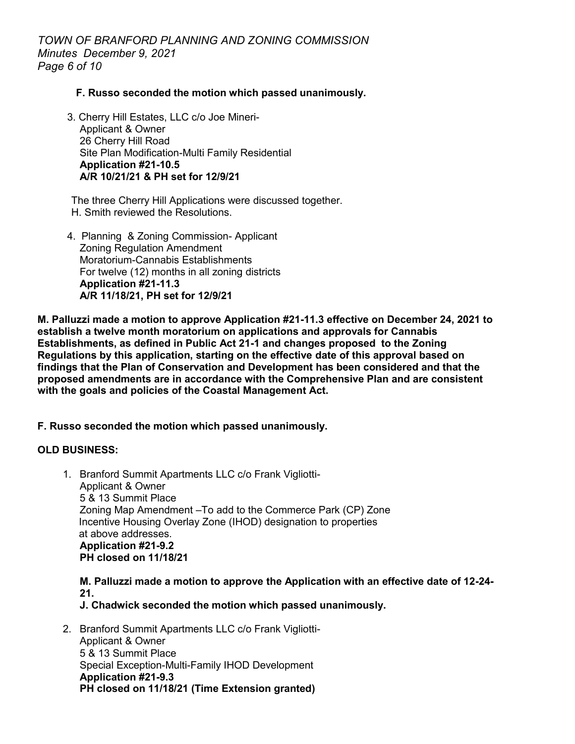*TOWN OF BRANFORD PLANNING AND ZONING COMMISSION Minutes December 9, 2021 Page 6 of 10*

#### **F. Russo seconded the motion which passed unanimously.**

3. Cherry Hill Estates, LLC c/o Joe Mineri-Applicant & Owner 26 Cherry Hill Road Site Plan Modification-Multi Family Residential **Application #21-10.5 A/R 10/21/21 & PH set for 12/9/21**

The three Cherry Hill Applications were discussed together. H. Smith reviewed the Resolutions.

4. Planning & Zoning Commission- Applicant Zoning Regulation Amendment Moratorium-Cannabis Establishments For twelve (12) months in all zoning districts **Application #21-11.3 A/R 11/18/21, PH set for 12/9/21**

**M. Palluzzi made a motion to approve Application #21-11.3 effective on December 24, 2021 to establish a twelve month moratorium on applications and approvals for Cannabis Establishments, as defined in Public Act 21-1 and changes proposed to the Zoning Regulations by this application, starting on the effective date of this approval based on findings that the Plan of Conservation and Development has been considered and that the proposed amendments are in accordance with the Comprehensive Plan and are consistent with the goals and policies of the Coastal Management Act.** 

## **F. Russo seconded the motion which passed unanimously.**

#### **OLD BUSINESS:**

1. Branford Summit Apartments LLC c/o Frank Vigliotti-Applicant & Owner 5 & 13 Summit Place Zoning Map Amendment –To add to the Commerce Park (CP) Zone Incentive Housing Overlay Zone (IHOD) designation to properties at above addresses. **Application #21-9.2 PH closed on 11/18/21**

**M. Palluzzi made a motion to approve the Application with an effective date of 12-24- 21.**

**J. Chadwick seconded the motion which passed unanimously.** 

2. Branford Summit Apartments LLC c/o Frank Vigliotti-Applicant & Owner 5 & 13 Summit Place Special Exception-Multi-Family IHOD Development **Application #21-9.3 PH closed on 11/18/21 (Time Extension granted)**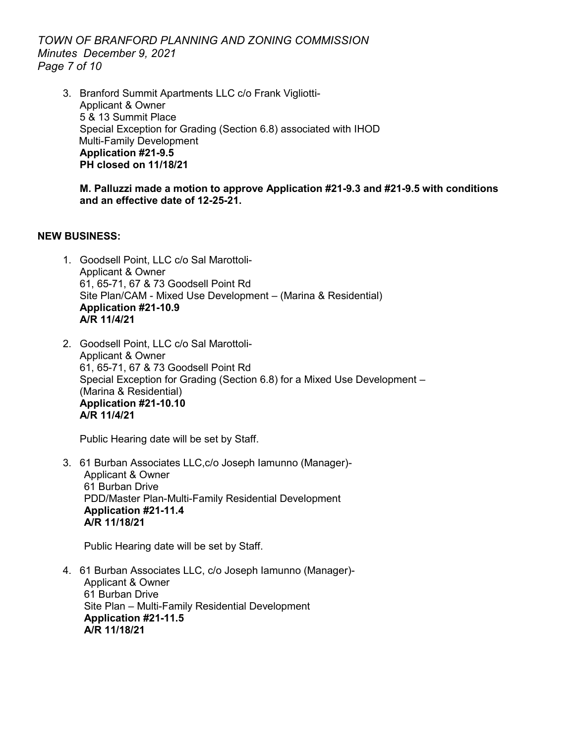*TOWN OF BRANFORD PLANNING AND ZONING COMMISSION Minutes December 9, 2021 Page 7 of 10*

3. Branford Summit Apartments LLC c/o Frank Vigliotti-Applicant & Owner 5 & 13 Summit Place Special Exception for Grading (Section 6.8) associated with IHOD Multi-Family Development **Application #21-9.5 PH closed on 11/18/21**

#### **M. Palluzzi made a motion to approve Application #21-9.3 and #21-9.5 with conditions and an effective date of 12-25-21.**

## **NEW BUSINESS:**

- 1. Goodsell Point, LLC c/o Sal Marottoli-Applicant & Owner 61, 65-71, 67 & 73 Goodsell Point Rd Site Plan/CAM - Mixed Use Development – (Marina & Residential) **Application #21-10.9 A/R 11/4/21**
- 2. Goodsell Point, LLC c/o Sal Marottoli-Applicant & Owner 61, 65-71, 67 & 73 Goodsell Point Rd Special Exception for Grading (Section 6.8) for a Mixed Use Development – (Marina & Residential) **Application #21-10.10 A/R 11/4/21**

Public Hearing date will be set by Staff.

3. 61 Burban Associates LLC,c/o Joseph Iamunno (Manager)- Applicant & Owner 61 Burban Drive PDD/Master Plan-Multi-Family Residential Development **Application #21-11.4 A/R 11/18/21**

Public Hearing date will be set by Staff.

4. 61 Burban Associates LLC, c/o Joseph Iamunno (Manager)- Applicant & Owner 61 Burban Drive Site Plan – Multi-Family Residential Development **Application #21-11.5 A/R 11/18/21**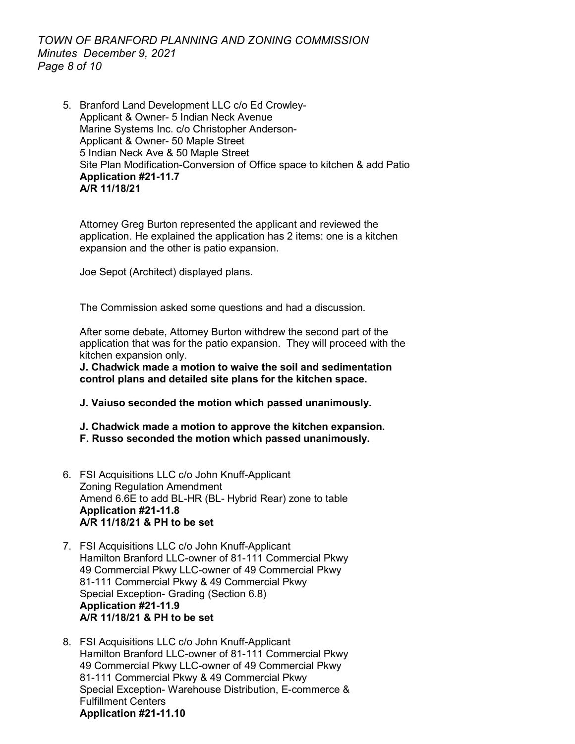# *TOWN OF BRANFORD PLANNING AND ZONING COMMISSION Minutes December 9, 2021 Page 8 of 10*

5. Branford Land Development LLC c/o Ed Crowley-Applicant & Owner- 5 Indian Neck Avenue Marine Systems Inc. c/o Christopher Anderson-Applicant & Owner- 50 Maple Street 5 Indian Neck Ave & 50 Maple Street Site Plan Modification-Conversion of Office space to kitchen & add Patio **Application #21-11.7 A/R 11/18/21**

Attorney Greg Burton represented the applicant and reviewed the application. He explained the application has 2 items: one is a kitchen expansion and the other is patio expansion.

Joe Sepot (Architect) displayed plans.

The Commission asked some questions and had a discussion.

After some debate, Attorney Burton withdrew the second part of the application that was for the patio expansion. They will proceed with the kitchen expansion only.

**J. Chadwick made a motion to waive the soil and sedimentation control plans and detailed site plans for the kitchen space.** 

**J. Vaiuso seconded the motion which passed unanimously.**

**J. Chadwick made a motion to approve the kitchen expansion. F. Russo seconded the motion which passed unanimously.** 

- 6. FSI Acquisitions LLC c/o John Knuff-Applicant Zoning Regulation Amendment Amend 6.6E to add BL-HR (BL- Hybrid Rear) zone to table **Application #21-11.8 A/R 11/18/21 & PH to be set**
- 7. FSI Acquisitions LLC c/o John Knuff-Applicant Hamilton Branford LLC-owner of 81-111 Commercial Pkwy 49 Commercial Pkwy LLC-owner of 49 Commercial Pkwy 81-111 Commercial Pkwy & 49 Commercial Pkwy Special Exception- Grading (Section 6.8) **Application #21-11.9 A/R 11/18/21 & PH to be set**
- 8. FSI Acquisitions LLC c/o John Knuff-Applicant Hamilton Branford LLC-owner of 81-111 Commercial Pkwy 49 Commercial Pkwy LLC-owner of 49 Commercial Pkwy 81-111 Commercial Pkwy & 49 Commercial Pkwy Special Exception- Warehouse Distribution, E-commerce & Fulfillment Centers **Application #21-11.10**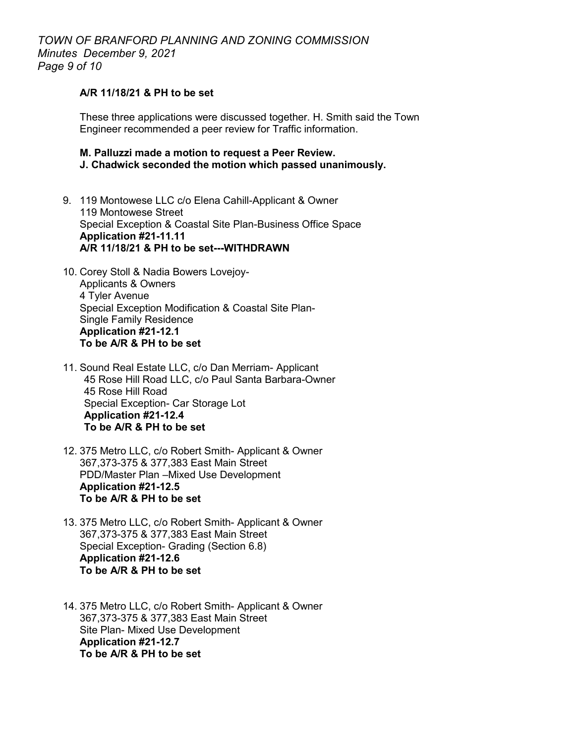#### **A/R 11/18/21 & PH to be set**

These three applications were discussed together. H. Smith said the Town Engineer recommended a peer review for Traffic information.

#### **M. Palluzzi made a motion to request a Peer Review. J. Chadwick seconded the motion which passed unanimously.**

- 9. 119 Montowese LLC c/o Elena Cahill-Applicant & Owner 119 Montowese Street Special Exception & Coastal Site Plan-Business Office Space **Application #21-11.11 A/R 11/18/21 & PH to be set---WITHDRAWN**
- 10. Corey Stoll & Nadia Bowers Lovejoy-Applicants & Owners 4 Tyler Avenue Special Exception Modification & Coastal Site Plan-Single Family Residence **Application #21-12.1 To be A/R & PH to be set**
- 11. Sound Real Estate LLC, c/o Dan Merriam- Applicant 45 Rose Hill Road LLC, c/o Paul Santa Barbara-Owner 45 Rose Hill Road Special Exception- Car Storage Lot **Application #21-12.4 To be A/R & PH to be set**
- 12. 375 Metro LLC, c/o Robert Smith- Applicant & Owner 367,373-375 & 377,383 East Main Street PDD/Master Plan –Mixed Use Development **Application #21-12.5 To be A/R & PH to be set**
- 13. 375 Metro LLC, c/o Robert Smith- Applicant & Owner 367,373-375 & 377,383 East Main Street Special Exception- Grading (Section 6.8) **Application #21-12.6 To be A/R & PH to be set**
- 14. 375 Metro LLC, c/o Robert Smith- Applicant & Owner 367,373-375 & 377,383 East Main Street Site Plan- Mixed Use Development **Application #21-12.7 To be A/R & PH to be set**